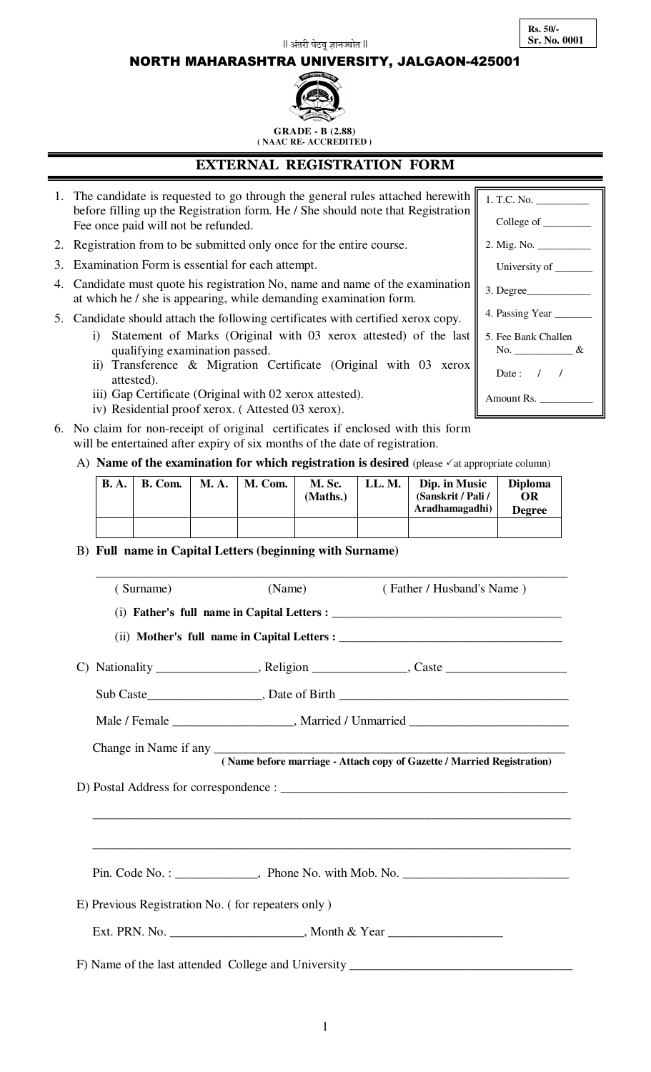1

before filling up the Registration form. He / She should note that Registration

**EXTERNAL REGISTRATION FORM**

 $\parallel$  अंतरी पेटव ज्ञानज्योत  $\parallel$ 

NORTH MAHARASHTRA UNIVERSITY, JALGAON-425001

 **GRADE - B (2.88) ( NAAC RE- ACCREDITED )**

2. Registration from to be submitted only once for the entire course.

Fee once paid will not be refunded.

- 3. Examination Form is essential for each attempt.
- 4. Candidate must quote his registration No, name and name of the examination at which he / she is appearing, while demanding examination form.

1. The candidate is requested to go through the general rules attached herewith

- 5. Candidate should attach the following certificates with certified xerox copy.
	- i) Statement of Marks (Original with 03 xerox attested) of the last qualifying examination passed.
	- ii) Transference & Migration Certificate (Original with 03 xerox attested).
	- iii) Gap Certificate (Original with 02 xerox attested).
	- iv) Residential proof xerox. ( Attested 03 xerox).
- 6. No claim for non-receipt of original certificates if enclosed with this form will be entertained after expiry of six months of the date of registration.

#### A) **Name of the examination for which registration is desired** (please  $\checkmark$  at appropriate column)

| <b>B.A.</b> | B. Com. | <b>M.A.</b> | M. Com. | M. Sc.<br>(Maths.) | LL.M. | Dip. in Music<br>(Sanskrit / Pali /<br>Aradhamagadhi) | <b>Diploma</b><br>OR<br><b>Degree</b> |
|-------------|---------|-------------|---------|--------------------|-------|-------------------------------------------------------|---------------------------------------|
|             |         |             |         |                    |       |                                                       |                                       |

 $\overline{\phantom{a}}$  ,  $\overline{\phantom{a}}$  ,  $\overline{\phantom{a}}$  ,  $\overline{\phantom{a}}$  ,  $\overline{\phantom{a}}$  ,  $\overline{\phantom{a}}$  ,  $\overline{\phantom{a}}$  ,  $\overline{\phantom{a}}$  ,  $\overline{\phantom{a}}$  ,  $\overline{\phantom{a}}$  ,  $\overline{\phantom{a}}$  ,  $\overline{\phantom{a}}$  ,  $\overline{\phantom{a}}$  ,  $\overline{\phantom{a}}$  ,  $\overline{\phantom{a}}$  ,  $\overline{\phantom{a}}$ 

B) **Full name in Capital Letters (beginning with Surname)** 

| (Surname)                                         | (Name) | (Father / Husband's Name)                                                                    |
|---------------------------------------------------|--------|----------------------------------------------------------------------------------------------|
|                                                   |        |                                                                                              |
|                                                   |        |                                                                                              |
|                                                   |        |                                                                                              |
|                                                   |        |                                                                                              |
|                                                   |        | Male / Female ________________________, Married / Unmarried _____________________            |
|                                                   |        | Change in Name if any (Name before marriage - Attach copy of Gazette / Married Registration) |
|                                                   |        |                                                                                              |
|                                                   |        |                                                                                              |
|                                                   |        |                                                                                              |
|                                                   |        |                                                                                              |
| E) Previous Registration No. (for repeaters only) |        |                                                                                              |
|                                                   |        | Ext. PRN. No. ____________________________, Month & Year _______________________             |
|                                                   |        | F) Name of the last attended College and University _____________________________            |

1. T.C. No. \_\_\_\_\_\_\_\_\_\_ College of \_ 2. Mig. No. \_\_\_\_\_\_\_\_\_\_ University of \_ 3. Degree\_\_\_\_\_\_\_\_\_\_\_\_ 4. Passing Year \_ 5. Fee Bank Challen No. \_\_\_\_\_\_\_\_\_\_\_ & Date: / / Amount Rs.

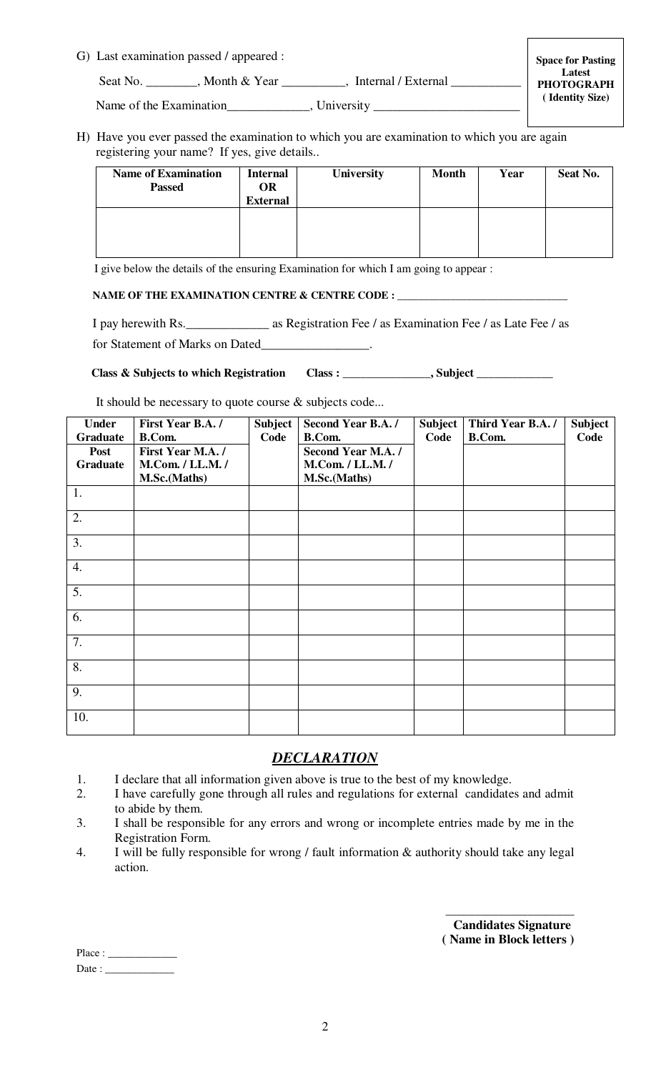| G) Last examination passed / appeared : |  |
|-----------------------------------------|--|
|                                         |  |

Seat No. \_\_\_\_\_\_\_, Month & Year \_\_\_\_\_\_\_\_, Internal / External \_\_\_\_\_\_\_\_\_\_\_\_\_\_,

H) Have you ever passed the examination to which you are examination to which you are again registering your name? If yes, give details..

| <b>Name of Examination</b><br><b>Passed</b> | <b>Internal</b><br><b>OR</b><br><b>External</b> | <b>University</b> | <b>Month</b> | Year | Seat No. |
|---------------------------------------------|-------------------------------------------------|-------------------|--------------|------|----------|
|                                             |                                                 |                   |              |      |          |

I give below the details of the ensuring Examination for which I am going to appear :

#### NAME OF THE EXAMINATION CENTRE & CENTRE CODE : \_\_\_\_\_\_

 I pay herewith Rs.\_\_\_\_\_\_\_\_\_\_\_\_\_ as Registration Fee / as Examination Fee / as Late Fee / as for Statement of Marks on Dated\_\_\_\_\_\_\_\_\_\_\_\_\_\_\_\_\_.

Class & Subjects to which Registration Class : \_\_\_\_\_\_\_\_\_\_\_\_\_, Subject \_\_\_\_\_\_\_\_\_\_\_

It should be necessary to quote course & subjects code...

| <b>Under</b> | First Year B.A./ | <b>Subject</b> | <b>Second Year B.A./</b> | <b>Subject</b> | Third Year B.A./ | <b>Subject</b> |
|--------------|------------------|----------------|--------------------------|----------------|------------------|----------------|
| Graduate     | B.Com.           | Code           | B.Com.                   | Code           | B.Com.           | Code           |
| Post         | First Year M.A./ |                | Second Year M.A./        |                |                  |                |
| Graduate     | M.Com. / LL.M. / |                | M.Com. / LL.M. /         |                |                  |                |
|              | M.Sc.(Maths)     |                | M.Sc.(Maths)             |                |                  |                |
| 1.           |                  |                |                          |                |                  |                |
| 2.           |                  |                |                          |                |                  |                |
| 3.           |                  |                |                          |                |                  |                |
| 4.           |                  |                |                          |                |                  |                |
| 5.           |                  |                |                          |                |                  |                |
| 6.           |                  |                |                          |                |                  |                |
| 7.           |                  |                |                          |                |                  |                |
| 8.           |                  |                |                          |                |                  |                |
| 9.           |                  |                |                          |                |                  |                |
| 10.          |                  |                |                          |                |                  |                |

#### *DECLARATION*

- 1. I declare that all information given above is true to the best of my knowledge.
- 2. I have carefully gone through all rules and regulations for external candidates and admit to abide by them.
- 3. I shall be responsible for any errors and wrong or incomplete entries made by me in the Registration Form.
- 4. I will be fully responsible for wrong / fault information & authority should take any legal action.

 **Candidates Signature ( Name in Block letters )** 

\_\_\_\_\_\_\_\_\_\_\_\_\_\_\_\_\_\_\_\_\_\_

| Place: |  |
|--------|--|
| Date:  |  |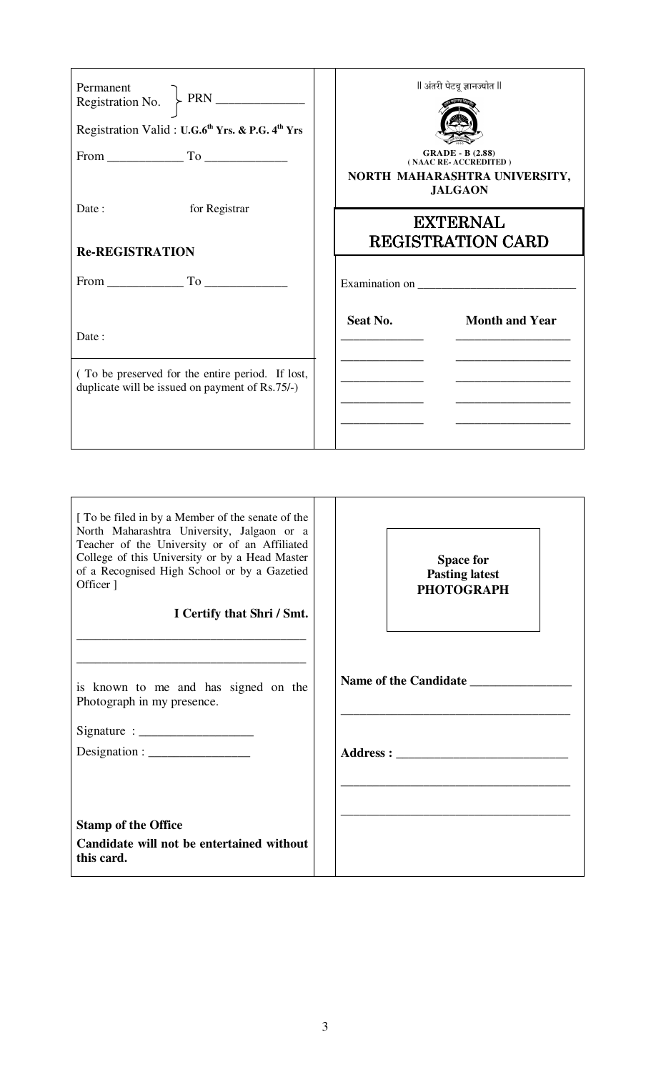| Registration Valid: U.G.6th Yrs. & P.G. 4th Yrs                                                              | ll अंतरी पेटवू ज्ञानज्योत ll<br><b>GRADE - B (2.88)</b><br>(NAAC RE-ACCREDITED)<br>NORTH MAHARASHTRA UNIVERSITY, |
|--------------------------------------------------------------------------------------------------------------|------------------------------------------------------------------------------------------------------------------|
| for Registrar<br>Date:                                                                                       | <b>JALGAON</b><br><b>EXTERNAL</b>                                                                                |
| <b>Re-REGISTRATION</b>                                                                                       | <b>REGISTRATION CARD</b>                                                                                         |
|                                                                                                              |                                                                                                                  |
| Date:<br>(To be preserved for the entire period. If lost,<br>duplicate will be issued on payment of Rs.75/-) | Seat No.<br><b>Month and Year</b>                                                                                |

| [To be filed in by a Member of the senate of the<br>North Maharashtra University, Jalgaon or a<br>Teacher of the University or of an Affiliated<br>College of this University or by a Head Master<br>of a Recognised High School or by a Gazetied<br>Officer ]<br>I Certify that Shri / Smt. | <b>Space for</b><br><b>Pasting latest</b><br><b>PHOTOGRAPH</b> |
|----------------------------------------------------------------------------------------------------------------------------------------------------------------------------------------------------------------------------------------------------------------------------------------------|----------------------------------------------------------------|
|                                                                                                                                                                                                                                                                                              |                                                                |
| <u> 1989 - Johann Stein, mars an deutscher Stein und der Stein und der Stein und der Stein und der Stein und der</u><br>is known to me and has signed on the<br>Photograph in my presence.                                                                                                   | Name of the Candidate                                          |
| $Designation: \_\_\_\_\_\_\_\_\_\_\_\_\_\_\_\_\_\_\_\_\_\_\_\_\_\_\_\_$                                                                                                                                                                                                                      |                                                                |
| <b>Stamp of the Office</b><br>Candidate will not be entertained without<br>this card.                                                                                                                                                                                                        |                                                                |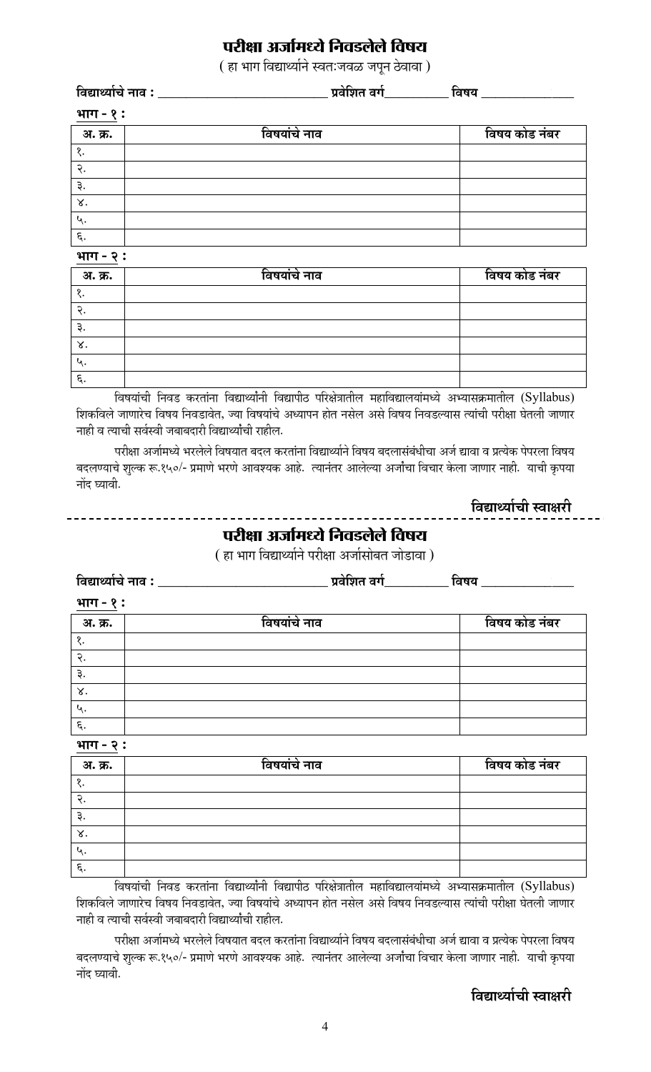# **परीक्षा अर्जामध्ये निवडलेले विषय**

( हा भाग विद्यार्थ्याने स्वतःजवळ जपुन ठेवावा)

|                         | विद्यार्थ्याचे नाव : _________              |  | विषय _____________  |  |  |  |  |
|-------------------------|---------------------------------------------|--|---------------------|--|--|--|--|
|                         | <u>भाग - १:</u>                             |  |                     |  |  |  |  |
| <u>अ. क्र.</u>          | विषयांचे नाव                                |  | विषय कोड नंबर       |  |  |  |  |
| १.                      |                                             |  |                     |  |  |  |  |
| २.                      |                                             |  |                     |  |  |  |  |
| ३.                      |                                             |  |                     |  |  |  |  |
| $\mathbf{x}$            |                                             |  |                     |  |  |  |  |
| ५.                      |                                             |  |                     |  |  |  |  |
| $\overline{\epsilon}$ . |                                             |  |                     |  |  |  |  |
| भाग - २:                |                                             |  |                     |  |  |  |  |
|                         | $\overline{\phantom{a}}$<br>$\cdot$ $\cdot$ |  | T<br>ī<br>$\bullet$ |  |  |  |  |

| अ. क्र. | विषयांचे नाव | विषय कोड नंबर |
|---------|--------------|---------------|
|         |              |               |
|         |              |               |
|         |              |               |
| δ.      |              |               |
|         |              |               |
| q.      |              |               |

विषयांची निवड करतांना विद्यार्थ्यांनी विद्यापीठ परिक्षेत्रातील महाविद्यालयांमध्ये अभ्यासक्रमातील (Syllabus) शिकविले जाणारेच विषय निवडावेत, ज्या विषयांचे अध्यापन होत नसेल असे विषय निवडल्यास त्यांची परीक्षा घेतली जाणार  $-$ नाही व त्याची सर्वस्वी जबाबदारी विद्यार्थ्यांची राहील.

परीक्षा अर्जामध्ये भरलेले विषयात बदल करतांना विद्यार्थ्याने विषय बदलासंबंधीचा अर्ज द्यावा व प्रत्येक पेपरला विषय बदलण्याचे शुल्क रू.१५०/- प्रमाणे भरणे आवश्यक आहे. त्यानंतर आलेल्या अर्जांचा विचार केला जाणार नाही. याची कृपया नोंद घ्यावी.

### **परीक्षा अर्जामध्ये निवडलेले विषय**

( हा भाग विद्यार्थ्याने परीक्षा अर्जासोबत जोडावा )

|                    | विद्यार्थ्याचे नाव : _________ | <u>.</u> प्रवेशित वर्ग________ | . विषय <b>_____________</b> _ |
|--------------------|--------------------------------|--------------------------------|-------------------------------|
| <u>भाग - १</u> :   |                                |                                |                               |
| अ. क्र.            | विषयांचे नाव                   |                                | विषय कोड नंबर                 |
| $\mathcal{S}.$     |                                |                                |                               |
| २.                 |                                |                                |                               |
| ३.                 |                                |                                |                               |
| $\chi$ .           |                                |                                |                               |
| ५.                 |                                |                                |                               |
| $\overline{\xi}$ . |                                |                                |                               |

<u>भाग - २</u> :

| अ. क्र.   | विषयांचे नाव | विषय कोड नंबर |
|-----------|--------------|---------------|
|           |              |               |
|           |              |               |
| ่ ∢∙      |              |               |
| ४.        |              |               |
| u         |              |               |
| $\zeta$ . |              |               |

विषयांची निवड करतांना विद्यार्थ्यांनी विद्यापीठ परिक्षेत्रातील महाविद्यालयांमध्ये अभ्यासक्रमातील (Syllabus) शिकविले जाणारेच विषय निवडावेत, ज्या विषयांचे अध्यापन होत नसेल असे विषय निवडल्यास त्यांची परीक्षा घेतली जाणार  $\bar{z}$ नाही व त्याची सर्वस्वी जबाबदारी विद्यार्थ्यांची राहील.

परीक्षा अर्जामध्ये भरलेले विषयात बदल करतांना विद्यार्थ्याने विषय बदलासंबंधीचा अर्ज द्यावा व प्रत्येक पेपरला विषय बदलण्याचे शुल्क रू.१५०/- प्रमाणे भरणे आवश्यक आहे. त्यानंतर आलेल्या अर्जांचा विचार केला जाणार नाही. याची कृपया नोंद घ्यावी.

### **बिद्यार्थ्याची स्वाक्षरी**

**बिद्यार्थ्याची स्वाक्षरी**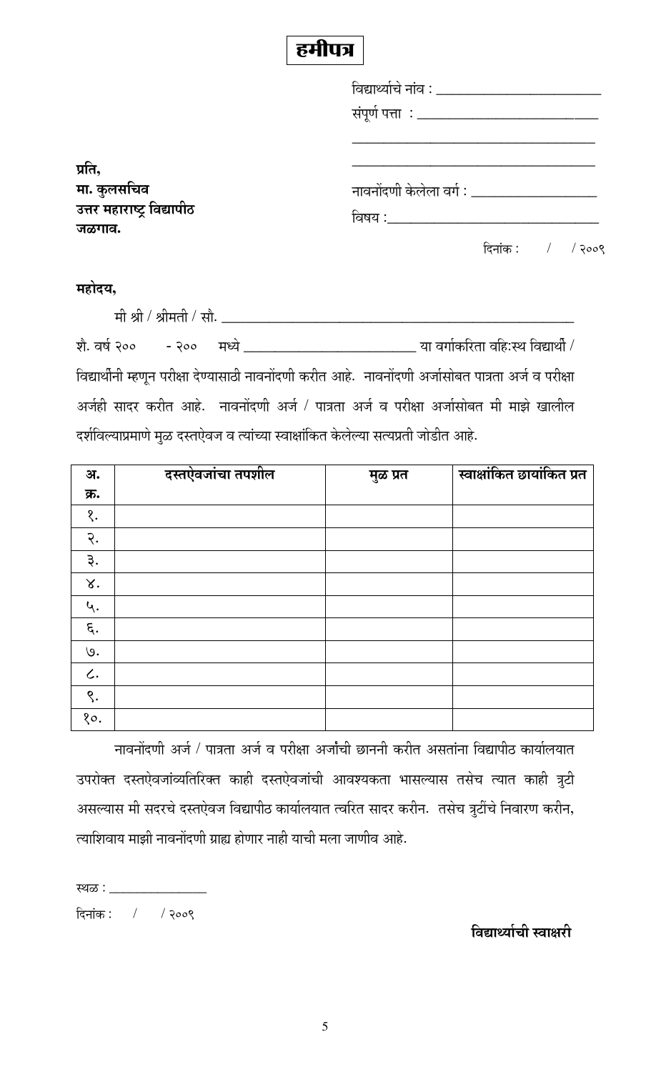# हमीपत्र

|                                                     | विद्यार्थ्याचे नांव : ____________________                       |
|-----------------------------------------------------|------------------------------------------------------------------|
|                                                     |                                                                  |
|                                                     |                                                                  |
| प्रति,<br>मा. कुलसचिव<br>उत्तर महाराष्ट्र विद्यापीठ |                                                                  |
|                                                     | नावनोंदणी केलेला वर्ग : _______                                  |
|                                                     | विषय : जिल्ला का प्राप्त करते हैं। जिल्ला का प्राप्त करते हैं कि |
| जळगाव.                                              |                                                                  |
|                                                     | दिनांक $:$ /<br>२००९                                             |

#### महोदय,

 ´Öß ÁÖß / ÁÖß´ÖŸÖß /ü ÃÖÖî. \_\_\_\_\_\_\_\_\_\_\_\_\_\_\_\_\_\_\_\_\_\_\_\_\_\_\_\_\_\_\_\_\_\_\_\_\_\_\_\_\_\_\_\_\_ शे. वर्ष २०० - २०० मध्ये \_\_\_\_\_\_\_\_\_\_\_\_\_\_\_\_\_\_\_\_\_\_\_\_\_\_\_\_\_\_\_\_\_\_\_ या वर्गाकरिता वहि:स्थ विद्यार्थी /

विद्यार्थीनी म्हणून परीक्षा देण्यासाठी नावनोंदणी करीत आहे. नावनोंदणी अर्जासोबत पात्रता अर्ज व परीक्षा अर्जही सादर करीत आहे. नावनोंदणी अर्ज / पात्रता अर्ज व परीक्षा अर्जासोबत मी माझे खालील दर्शविल्याप्रमाणे मुळ दस्तऐवज व त्यांच्या स्वाक्षांकित केलेल्या सत्यप्रती जोडीत आहे.

| अ.              | दस्तऐवजांचा तपशील | मुळ प्रत | स्वाक्षांकित छायांकित प्रत |
|-----------------|-------------------|----------|----------------------------|
| क्र.            |                   |          |                            |
| १.              |                   |          |                            |
| $\mathcal{R}$ . |                   |          |                            |
| ३.              |                   |          |                            |
| $\chi$ .        |                   |          |                            |
| ५.              |                   |          |                            |
| દ્.             |                   |          |                            |
| 9.              |                   |          |                            |
| $\mathcal{L}$ . |                   |          |                            |
| $\zeta$ .       |                   |          |                            |
| 80.             |                   |          |                            |

नावनोंदणी अर्ज / पात्रता अर्ज व परीक्षा अर्जांची छाननी करीत असतांना विद्यापीठ कार्यालयात उपरोक्त दस्तऐवजांव्यतिरिक्त काही दस्तऐवजांची आवश्यकता भासल्यास तसेच त्यात काही त्रुटी असल्यास मी सदरचे दस्तऐवज विद्यापीठ कार्यालयात त्वरित सादर करीन. तसेच त्रुटींचे निवारण करीन, त्याशिवाय माझी नावनोंदणी ग्राह्य होणार नाही याची मला जाणीव आहे.

ãÖôû : \_\_\_\_\_\_\_\_\_\_\_\_\_\_

दिनांक : / / २००९

**fagregiat** स्वाक्षरी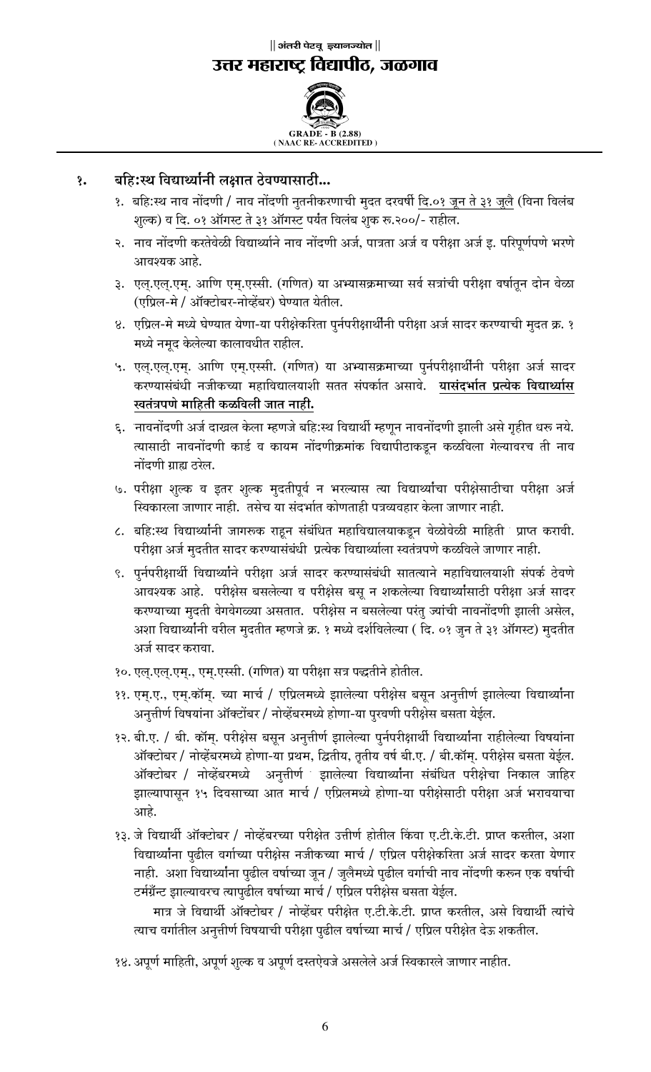**( NAAC RE- ACCREDITED )**

#### <u>१</u>. बहि:स्थ विद्यार्थ्यांनी लक्षात ठेवण्यासाठी...

- १. बहि:स्थ नाव नोंदणी / नाव नोंदणी नुतनीकरणाची मुदत दरवर्षी <u>दि.०१ जून ते ३१ जुलै</u> (विना विलंब शुल्क) व <u>दि. ०१ ऑगस्ट ते ३१ ऑगस्ट</u> पर्यंत विलंब शुक रू.२००/- राहील.
- २. नाव नोंदणी करतेवेळी विद्यार्थ्याने नाव नोंदणी अर्ज, पात्रता अर्ज व परीक्षा अर्ज इ. परिपूर्णपणे भरणे आवश्यक आहे.
- ३. एल्.एल्.एम्. आणि एम्.एस्सी. (गणित) या अभ्यासक्रमाच्या सर्व सत्रांची परीक्षा वर्षातून दोन वेळा (एप्रिल-मे / ऑक्टोबर-नोव्हेंबर) घेण्यात येतील.
- 8. एप्रिल-मे मध्ये घेण्यात येणा-या परीक्षेकरिता पुर्नपरीक्षार्थीनी परीक्षा अर्ज सादर करण्याची मुदत क्र. १ मध्ये नमद केलेल्या कालावधीत राहील.
- ५. एल्.एल्.एम्. आणि एम्.एस्सी. (गणित) या अभ्यासक्रमाच्या पुर्नपरीक्षार्थीनी परीक्षा अर्ज सादर ú¸üµÖÖÃÖÓ²ÖÓ¬Öß −Ö•Öß ú"µÖÖ ´ÖÆüÖ×¾ÖªÖ»ÖµÖÖ¿Öß ÃÖŸÖŸÖ ÃÖÓ¯Ö úÖÔŸÖ †ÃÖÖ¾Öê. **µÖÖÃÖÓ¤ü³ÖÖÔŸÖ ¯ÖÏŸµÖê(ú ×¾ÖªÖ£µÖÖÔÃÖ**  <u>स्वतंत्रपणे</u> माहिती कळविली जात नाही.
- ६. नावनोंदणी अर्ज दाखल केला म्हणजे बहि:स्थ विद्यार्थी म्हणून नावनोंदणी झाली असे गृहीत धरू नये. त्यासाठी नावनोंदणी कार्ड व कायम नोंदणीक्रमांक विद्यापीठाकडून कळविला गेल्यावरच ती नाव नोंदणी ग्राह्य ठरेल.
- ७. परीक्षा शुल्क व इतर शुल्क मुदतीपूर्व न भरल्यास त्या विद्यार्थ्यांचा परीक्षेसाठीचा परीक्षा अर्ज स्विकारला जाणार नाही. तसेच या संदर्भात कोणताही पत्रव्यवहार केला जाणार नाही.
- ८. बहि:स्थ विद्यार्थ्यानी जागरूक राहून संबंधित महाविद्यालयाकडून वेळोवेळी माहिती ंप्राप्त करावी. परीक्षा अर्ज मुदतीत सादर करण्यासंबंधी प्रत्येक विद्यार्थ्याला स्वतंत्रपणे कळविले जाणार नाही.
- ९. पूर्नपरीक्षार्थी विद्यार्थ्याने परीक्षा अर्ज सादर करण्यासंबंधी सातत्याने महाविद्यालयाशी संपर्क ठेवणे आवश्यक आहे. परीक्षेस बसलेल्या व परीक्षेस बसू न शकलेल्या विद्यार्थ्यांसाठी परीक्षा अर्ज सादर करण्याच्या मुदती वेगवेगळ्या असतात. परीक्षेस न बसलेल्या परंतु ज्यांची नावनोंदणी झाली असेल, अशा विद्यार्थ्यांनी वरील मुदतीत म्हणजे क्र. १ मध्ये दर्शविलेल्या ( दि. ०१ जुन ते ३१ ऑगस्ट) मुदतीत अर्ज सादर करावा.
- १०. एल्.एल्.एम्., एम्.एस्सी. (गणित) या परीक्षा सत्र पद्धतीने होतील.
- ११. एम्.ए., एम्.कॉम्. च्या मार्च / एप्रिलमध्ये झालेल्या परीक्षेस बसून अनुत्तीर्ण झालेल्या विद्यार्थ्यांना अनुत्तीर्ण विषयांना ऑक्टोंबर / नोव्हेंबरमध्ये होणा-या पुरवणी परीक्षेस बसता येईल.
- १२. बी.ए. / बी. कॉम्. परीक्षेस बसून अनुत्तीर्ण झालेल्या पुर्नपरीक्षार्थी विद्यार्थ्यांना राहीलेल्या विषयांना ऑक्टोबर / नोव्हेंबरमध्ये होणा-या प्रथम, द्वितीय, तृतीय वर्ष बी.ए. / बी.कॉम्. परीक्षेस बसता येईल. ऑक्टोबर / नोव्हेंबरमध्ये अनुत्तीर्ण झालेल्या विद्यार्थ्यांना संबंधित परीक्षेचा निकाल जाहिर झाल्यापासून १५ दिवसाच्या आत मार्च / एप्रिलमध्ये होणा-या परीक्षेसाठी परीक्षा अर्ज भरावयाचा आहे.
- 3३. जे विद्यार्थी ऑक्टोबर / नोव्हेंबरच्या परीक्षेत उत्तीर्ण होतील किंवा ए.टी.के.टी. प्राप्त करतील, अशा विद्यार्थ्यांना पुढील वर्गाच्या परीक्षेस नजीकच्या मार्च / एप्रिल परीक्षेकरिता अर्ज सादर करता येणार नाही. अशा विद्यार्थ्याना पुढील वर्षाच्या जून / जुलैमध्ये पुढील वर्गाची नाव नोंदणी करून एक वर्षाची टर्मग्रॅन्ट झाल्यावरच त्यापुढील वर्षाच्या मार्च / एप्रिल परीक्षेस बसता येईल.

मात्र जे विद्यार्थी ऑक्टोबर / नोव्हेंबर परीक्षेत ए.टी.के.टी. प्राप्त करतील, असे विद्यार्थी त्यांचे त्याच वर्गातील अनुत्तीर्ण विषयाची परीक्षा पूढील वर्षाच्या मार्च / एप्रिल परीक्षेत देऊ शकतील.

१४. अपूर्ण माहिती, अपूर्ण शुल्क व अपूर्ण दस्तऐवजे असलेले अर्ज स्विकारले जाणार नाहीत.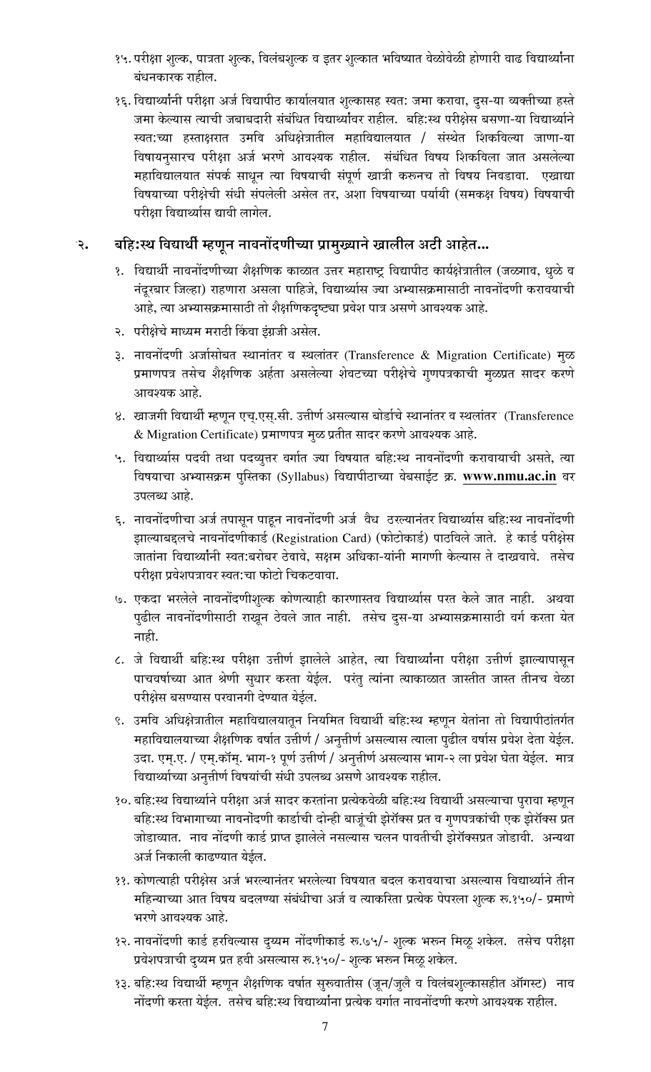- १५. परीक्षा शुल्क, पात्रता शुल्क, विलंबशुल्क व इतर शुल्कात भविष्यात वेळोवेळी होणारी वाढ विद्यार्थ्यांना बंधनकारक राहील.
- १६. विद्यार्थ्यांनी परीक्षा अर्ज विद्यापीठ कार्यालयात शुल्कासह स्वत: जमा करावा, दुस-या व्यक्तीच्या हस्ते जमा केल्यास त्याची जबाबदारी संबंधित विद्यार्थ्यावर राहील. बहि:स्थ परीक्षेस बसणा-या विद्यार्थ्याने स्वत:च्या हस्ताक्षरात उमवि अधिक्षेत्रातील महाविद्यालयात / संस्थेत शिकविल्या जाणा-या विषायनसारच परीक्षा अर्ज भरणे आवश्यक राहील. संबंधित विषय शिकविला जात असलेल्या महाविद्यालयात संपर्क साधून त्या विषयाची संपूर्ण खात्री करूनच तो विषय निवडावा. एखाद्या विषयाच्या परीक्षेची संधी संपलेली असेल तर, अशा विषयाच्या पर्यायी (समकक्ष विषय) विषयाची परीक्षा विद्यार्थ्यास द्यावी लागेल.

#### बहिःस्थ विद्यार्थी म्हणून नावनोंदणीच्या प्रामुख्याने खालील अटी आहेत... . २

- १. विद्यार्थी नावनोंदणीच्या शैक्षणिक काळात उत्तर महाराष्ट्र विद्यापीठ कार्यक्षेत्रातील (जळगाव, धुळे व नंदूरबार जिल्हा) राहणारा असला पाहिजे, विद्यार्थ्यास ज्या अभ्यासक्रमासाठी नावनोंदणी करावयाची आहे, त्या अभ्यासक्रमासाठी तो शैक्षणिकदृष्ट्या प्रवेश पात्र असणे आवश्यक आहे.
- २. परीक्षेचे माध्यम मराठी किंवा इंग्रजी असेल.
- ३. नावनोंदणी अर्जासोबत स्थानांतर व स्थलांतर (Transference & Migration Certificate) मुळ प्रमाणपत्र तसेच शैक्षणिक अर्हता असलेल्या शेवटच्या परीक्षेचे गुणपत्रकाची मुळप्रत सादर करणे आवश्यक आहे.
- ४. खाजगी विद्यार्थी म्हणून एच.एस.सी. उत्तीर्ण असल्यास बोर्डाचे स्थानांतर व स्थलांतर (Transference & Migration Certificate) प्रमाणपत्र मुळ प्रतीत सादर करणे आवश्यक आहे.
- ५. विद्यार्थ्यास पदवी तथा पदव्यूत्तर वर्गात ज्या विषयात बहि:स्थ नावनोंदणी करावायाची असते, त्या विषयाचा अभ्यासक्रम पुस्तिका (Syllabus) विद्यापीठाच्या वेबसाईट क्र. www.nmu.ac.in वर उपलब्ध आहे.
- ६. नावनोंदणीचा अर्ज तपासून पाहून नावनोंदणी अर्ज वैध ठरल्यानंतर विद्यार्थ्यास बहि:स्थ नावनोंदणी झाल्याबद्दलचे नावनोंदणीकार्ड (Registration Card) (फोटोकार्ड) पाठविले जाते. हे कार्ड परीक्षेस जातांना विद्यार्थ्यांनी स्वत:बरोबर ठेवावे, सक्षम अधिका-यांनी मागणी केल्यास ते दाखवावे. तसेच परीक्षा प्रवेशपत्रावर स्वत:चा फोटो चिकटवावा.
- ७. एकदा भरलेले नावनोंदणीशुल्क कोणत्याही कारणास्तव विद्यार्थ्यास परत केले जात नाही. अथवा पुढील नावनोंदणीसाठी राखून ठेवले जात नाही. तसेच दुस-या अभ्यासक्रमासाठी वर्ग करता येत नाही.
- ८. जे विद्यार्थी बहि:स्थ परीक्षा उत्तीर्ण झालेले आहेत, त्या विद्यार्थ्यांना परीक्षा उत्तीर्ण झाल्यापासून पाचवर्षाच्या आत श्रेणी सुधार करता येईल. परंतु त्यांना त्याकाळात जास्तीत जास्त तीनच वेळा परीक्षेस बसण्यास परवानगी देण्यात येईल.
- ९. उमवि अधिक्षेत्रातील महाविद्यालयातून नियमित विद्यार्थी बहि:स्थ म्हणून येतांना तो विद्यापीठांतर्गत महाविद्यालयाच्या शैक्षणिक वर्षात उत्तीर्ण / अनुत्तीर्ण असल्यास त्याला पुढील वर्षास प्रवेश देता येईल. उदा. एम्.ए. / एम्.कॉम्. भाग-१ पूर्ण उत्तीर्ण / अनुत्तीर्ण असल्यास भाग-२ ला प्रवेश घेता येईल. मात्र विद्यार्थ्याच्या अनुत्तीर्ण विषयांची संधी उपलब्ध असणे आवश्यक राहील.
- १०. बहि:स्थ विद्यार्थ्याने परीक्षा अर्ज सादर करतांना प्रत्येकवेळी बहि:स्थ विद्यार्थी असल्याचा पुरावा म्हणून बहि:स्थ विभागाच्या नावनोंदणी कार्डाची दोन्ही बाजूंची झेरॉक्स प्रत व गुणपत्रकांची एक झेरॉक्स प्रत जोडाव्यात. नाव नोंदणी कार्ड प्राप्त झालेले नसल्यास चलन पावतीची झेरॉक्सप्रत जोडावी. अन्यथा अर्ज निकाली काढण्यात येईल.
- ११. कोणत्याही परीक्षेस अर्ज भरल्यानंतर भरलेल्या विषयात बदल करावयाचा असल्यास विद्यार्थ्याने तीन महिन्याच्या आत विषय बदलण्या संबंधीचा अर्ज व त्याकरिता प्रत्येक पेपरला शुल्क रू.१५०/- प्रमाणे भरणे आवश्यक आहे.
- १२. नावनोंदणी कार्ड हरविल्यास दुय्यम नोंदणीकार्ड रू.७५/- शुल्क भरून मिळू शकेल. तसेच परीक्षा प्रवेशपत्राची द्य्यम प्रत हवी असल्यास रू.१५०/- शुल्क भरून मिळू शकेल.
- १३. बहि:स्थ विद्यार्थी म्हणून शैक्षणिक वर्षात सुरूवातीस (जून/जुलै व विलंबशुल्कासहीत ऑगस्ट) नाव नोंदणी करता येईल. तसेच बहि:स्थ विद्यार्थ्यांना प्रत्येक वर्गात नावनोंदणी करणे आवश्यक राहील.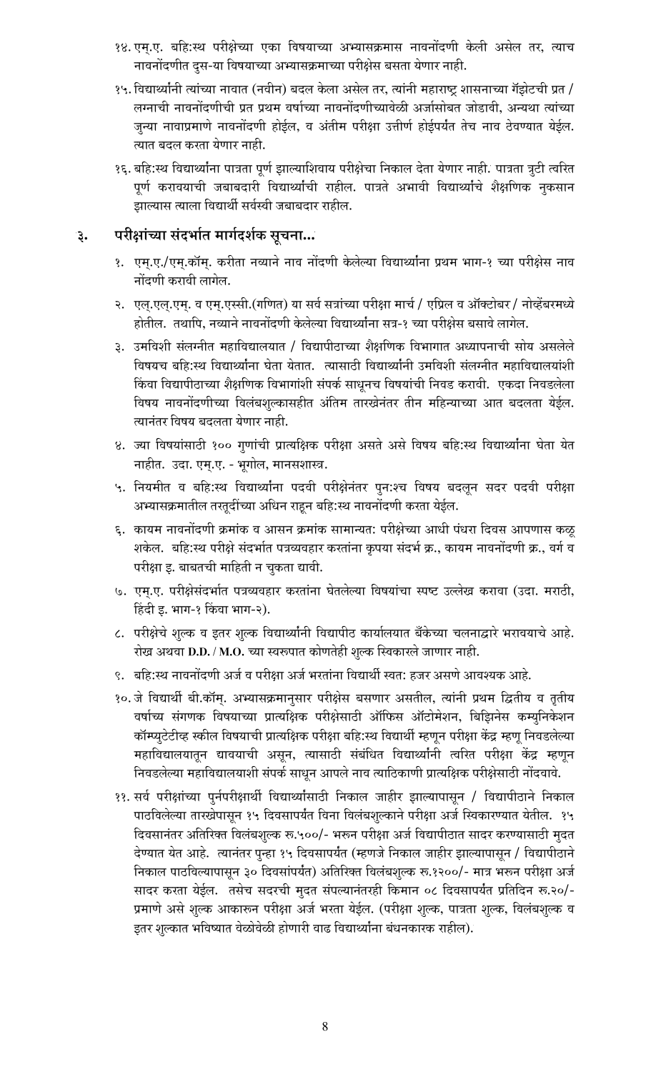- १४. एम्.ए. बहि:स्थ परीक्षेच्या एका विषयाच्या अभ्यासक्रमास नावनोंदणी केली असेल तर, त्याच नावनोंदणीत दुस-या विषयाच्या अभ्यासक्रमाच्या परीक्षेस बसता येणार नाही.
- १५. विद्यार्थ्यानी त्यांच्या नावात (नवीन) बदल केला असेल तर, त्यांनी महाराष्ट शासनाच्या गॅझेटची प्रत / लग्नाची नावनोंदणीची प्रत प्रथम वर्षाच्या नावनोंदणीच्यावेळी अर्जासोबत जोडावी, अन्यथा त्यांच्या जन्या नावाप्रमाणे नावनोंदणी होईल, व अंतीम परीक्षा उत्तीर्ण होईपर्यंत तेच नाव ठेवण्यात येईल. त्यात बदल करता येणार नाही.
- १६. बहि:स्थ विद्यार्थ्यांना पात्रता पूर्ण झाल्याशिवाय परीक्षेचा निकाल देता येणार नाही. पात्रता त्रुटी त्वरित पूर्ण करावयाची जबाबदारी विद्यार्थ्यांची राहील. पात्रते अभावी विद्यार्थ्यांचे शैक्षणिक नुकसान झाल्यास त्याला विद्यार्थी सर्वस्वी जबाबदार राहील.

### a. परीक्षांच्या संदर्भात मार्गदर्शक सूचना...

- १. एम्.ए./एम्.कॉम्. करीता नव्याने नाव नोंदणी केलेल्या विद्यार्थ्यांना प्रथम भाग-१ च्या परीक्षेस नाव नोंदणी करावी लागेल.
- २. एल्.एल्.एम्. व एम्.एस्सी.(गणित) या सर्व सत्रांच्या परीक्षा मार्च / एप्रिल व ऑक्टोबर / नोव्हेंबरमध्ये होतील. तथापि, नव्याने नावनोंदणी केलेल्या विद्यार्थ्यांना सत्र-१ च्या परीक्षेस बसावे लागेल.
- ३. उमविशी संलग्नीत महाविद्यालयात / विद्यापीठाच्या शैक्षणिक विभागात अध्यापनाची सोय असलेले विषयच बहि:स्थ विद्यार्थ्यांना घेता येतात. त्यासाठी विद्यार्थ्यांनी उमविशी संलग्नीत महाविद्यालयांशी किंवा विद्यापीठाच्या शैक्षणिक विभागांशी संपर्क साधूनच विषयांची निवड करावी. एकदा निवडलेला विषय नावनोंदणीच्या विलंबशुल्कासहीत अंतिम तारखेनंतर तीन महिन्याच्या आत बदलता येईल. त्यानंतर विषय बदलता येणार नाही.
- ४. ज्या विषयांसाठी १०० गुणांची प्रात्यक्षिक परीक्षा असते असे विषय बहि:स्थ विद्यार्थ्यांना घेता येत नाहीत. उदा. एम्.ए. - भूगोल, मानसशास्त्र.
- ५. नियमीत व बहि:स्थ विद्यार्थ्याना पदवी परीक्षेनंतर पुन:श्च विषय बदलून सदर पदवी परीक्षा अभ्यासक्रमातील तरतूदींच्या अधिन राहून बहि:स्थ नावनोंदणी करता येईल.
- ६. कायम नावनोंदणी क्रमांक व आसन क्रमांक सामान्यत: परीक्षेच्या आधी पंधरा दिवस आपणास कळू शकेल. बहि:स्थ परीक्षे संदर्भात पत्रव्यवहार करतांना कृपया संदर्भ क्र., कायम नावनोंदणी क्र., वर्ग व परीक्षा इ. बाबतची माहिती न चुकता द्यावी.
- ७. एम्.ए. परीक्षेसंदर्भात पत्रव्यवहार करतांना घेतलेल्या विषयांचा स्पष्ट उल्लेख करावा (उदा. मराठी, हिंदी इ. भाग-१ किंवा भाग-२).
- ८. परीक्षेचे शुल्क व इतर शुल्क विद्यार्थ्यांनी विद्यापीठ कार्यालयात बँकेच्या चलनाद्वारे भरावयाचे आहे. रोख अथवा D.D. / M.O. च्या स्वरूपात कोणतेही शुल्क स्विकारले जाणार नाही.
- ९. बहि:स्थ नावनोंदणी अर्ज व परीक्षा अर्ज भरतांना विद्यार्थी स्वत: हजर असणे आवश्यक आहे.
- १०. जे विद्यार्थी बी.कॉम्. अभ्यासक्रमानुसार परीक्षेस बसणार असतील, त्यांनी प्रथम द्वितीय व तृतीय वर्षाच्य संगणक विषयाच्या प्रात्यक्षिक परीक्षेसाठी ऑफिस ऑटोमेशन, बिझिनेस कम्युनिकेशन कॉम्प्युटेटीव्ह स्कील विषयाची प्रात्यक्षिक परीक्षा बहि:स्थ विद्यार्थी म्हणून परीक्षा केंद्र म्हणू निवडलेल्या महाविद्यालयातून द्यावयाची असून, त्यासाठी संबंधित विद्यार्थ्यांनी त्वरित परीक्षा केंद्र म्हणून निवडलेल्या महाविद्यालयाशी संपर्क साधून आपले नाव त्याठिकाणी प्रात्यक्षिक परीक्षेसाठी नोंदवावे.
- ११. सर्व परीक्षांच्या पुर्नपरीक्षार्थी विद्यार्थ्यांसाठी निकाल जाहीर झाल्यापासून / विद्यापीठाने निकाल पाठविलेल्या तारखेपासून १५ दिवसापर्यंत विना विलंबशुल्काने परीक्षा अर्ज स्विकारण्यात येतील. १५ विवसानंतर अतिरिक्त विलंबशुल्क रू.५००/- भरून परीक्षा अर्ज विद्यापीठात सादर करण्यासाठी मुदत देण्यात येत आहे. त्यानंतर पुन्हा १५ दिवसापर्यंत (म्हणजे निकाल जाहीर झाल्यापासून / विद्यापीठाने निकाल पाठविल्यापासून ३० दिवसांपर्यंत) अतिरिक्त विलंबशुल्क रू.१२००/- मात्र भरून परीक्षा अर्ज सादर करता येईल. तसेच सदरची मुदत संपल्यानंतरही किमान ०८ दिवसापर्यंत प्रतिदिन रू.२०/-प्रमाणे असे शुल्क आकारून परीक्षा अर्ज भरता येईल. (परीक्षा शुल्क, पात्रता शुल्क, विलंबशुल्क व इतर शुल्कात भविष्यात वेळोवेळी होणारी वाढ विद्यार्थ्यांना बंधनकारक राहील).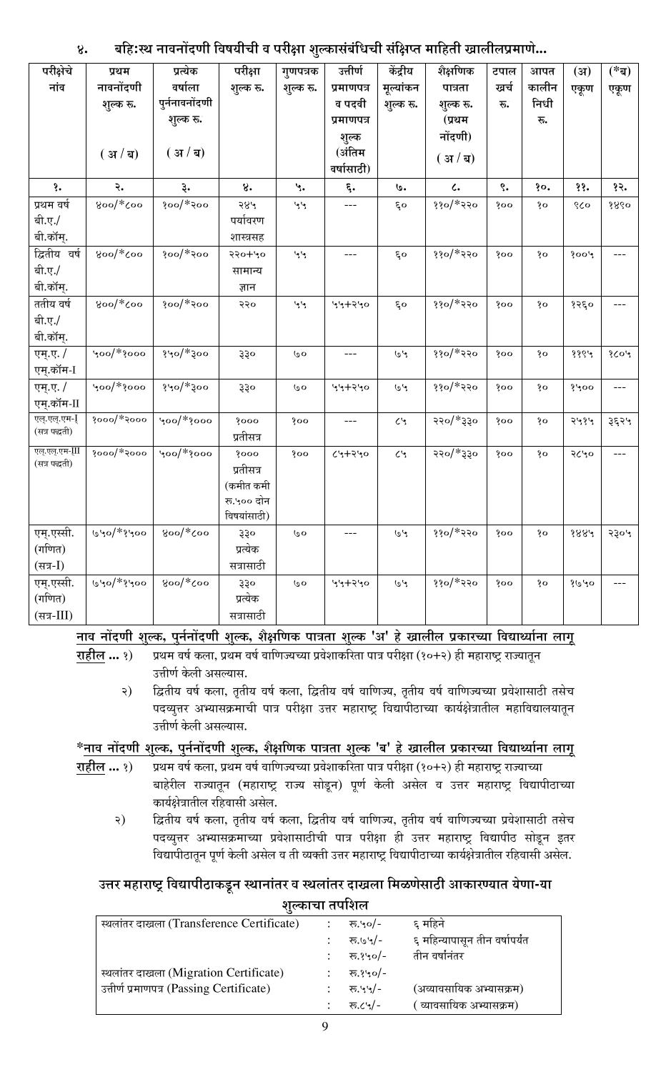#### बहिःस्थ नावनोंदणी विषयीची व परीक्षा शुल्कासंबंधिची संक्षिप्त माहिती खालीलप्रमाणे...  $8^{\circ}$

| परीक्षेचे         | प्रथम                   | प्रत्येक                  | परीक्षा            | गुणपत्रक               | उत्तीर्ण             | केंद्रीय                     | शैक्षणिक            | टपाल                    | आपत           | (3I)     | $(* \mathbf{z} )$ |
|-------------------|-------------------------|---------------------------|--------------------|------------------------|----------------------|------------------------------|---------------------|-------------------------|---------------|----------|-------------------|
| नांव              | नावनोंदणी               | वर्षाला<br>पुर्ननावनोंदणी | शुल्क रू.          | शुल्क रू.              | प्रमाणपत्र           | मूल्यांकन                    | पात्रता             | खर्च                    | कालीन<br>निधी | एकूण     | एकूण              |
|                   | शुल्क रू.               | शुल्क रू.                 |                    |                        | व पदवी<br>प्रमाणपत्र | शुल्क रू.                    | शुल्क रू.<br>(प्रथम | रू.                     | रू.           |          |                   |
|                   |                         |                           |                    |                        | शुल्क                |                              | नोंदणी)             |                         |               |          |                   |
|                   | (31/2)                  | (31/2)                    |                    |                        | (अंतिम               |                              |                     |                         |               |          |                   |
|                   |                         |                           |                    |                        | वर्षासाठी)           |                              | (31/4)              |                         |               |          |                   |
| १.                | २.                      | ३.                        | 8.                 | $\mathcal{L}$          | $\epsilon$ .         | ७.                           | $\mathcal{L}$       | $\mathcal{E}^{\bullet}$ | §ο.           | ११.      | १२.               |
| प्रथम वर्ष        | $800$ $\frac{1}{2}$     | $300$ / $*300$            | २४५                | مومع                   | ---                  | $\mathcal{E}^{\mathbf{O}}$   | $330$ / $*330$      | 800                     | şο            | $\delta$ | 8860              |
| बी.ए./            |                         |                           | पर्यावरण           |                        |                      |                              |                     |                         |               |          |                   |
| बी.कॉम्.          |                         |                           | शास्त्रसह          |                        |                      |                              |                     |                         |               |          |                   |
| द्वितीय वर्ष      | $800$ $*$ $\zeta$ 00    | $300$ / $*300$            | 950+40             | مومع                   | $---$                | $\epsilon$ o                 | $330$ / $*330$      | 800                     | $\delta$      | 3004     | ---               |
| बी.ए./            |                         |                           | सामान्य            |                        |                      |                              |                     |                         |               |          |                   |
| बी.कॉम्.          |                         |                           | ज्ञान              |                        |                      |                              |                     |                         |               |          |                   |
| ततीय वर्ष         | $800$ / $*$ Coo         | $300$ / $*300$            | २२०                | مومع                   | 94790                | $\epsilon$ o                 | $330$ / $*330$      | 300                     | $\delta$      | 3560     |                   |
| बी.ए./            |                         |                           |                    |                        |                      |                              |                     |                         |               |          |                   |
| बी.कॉम्.          |                         |                           |                    |                        |                      |                              |                     |                         |               |          |                   |
| एम्.ए. /          | $\sqrt{200}$ $\approx$  | $340/*300$                | 330                | $\omega$               | $---$                | $\mathcal{V} \mathcal{Q}$    | $330$ /*220         | 300                     | $\delta$      | 8864     | 203               |
| एम्.कॉम-I         |                         |                           |                    |                        |                      |                              |                     |                         |               |          |                   |
| एम्.ए. /          | $\frac{1}{2}$ 900/*3000 | $340$ / $*300$            | 330                | $\mathbf{o}$           | 44790                | $\mathcal{V} \mathcal{Q}$    | $330$ / $*330$      | 800                     | şο            | 8400     | ---               |
| एम्.कॉम-II        |                         |                           |                    |                        |                      |                              |                     |                         |               |          |                   |
| एल्.एल्.एम-[      | $3000$ / $*3000$        | $\frac{1}{2}$ 00/*3000    | 3000               | 800                    | $---$                | $\mathcal{E}$                | २२०/*३३०            | 800                     | şο            | २५१५     | $3\xi 3\lambda$   |
| (सत्र पद्धती)     |                         |                           | प्रतीसत्र          |                        |                      |                              |                     |                         |               |          |                   |
| एल्.एल्.एम-III    | $3000$ $\frac{4}{3}$    | $\gamma$ 00/ $*$ {000     | 8000               | 800                    | 0.9772               | $\mathcal{E}$                | $\log f*/\log$      | 300                     | şο            | २८५०     |                   |
| (सत्र पद्धती)     |                         |                           | प्रतीसत्र          |                        |                      |                              |                     |                         |               |          |                   |
|                   |                         |                           | (कमीत कमी          |                        |                      |                              |                     |                         |               |          |                   |
|                   |                         |                           | रू.५०० दोन         |                        |                      |                              |                     |                         |               |          |                   |
|                   |                         |                           | विषयांसाठी)        |                        |                      |                              |                     |                         |               |          |                   |
| एम्.एस्सी.        | ७५०/*१५००               | $8$ oo $/\ast$ Çoo        | $\hat{3}\hat{3}$ o | $\mathsf{o}\mathsf{o}$ |                      | $\mathcal{V} \, \omega$      | $330$ / $*350$      | δοο                     | şο            | 8884     | 5304              |
| (गणित)            |                         |                           | प्रत्येक           |                        |                      |                              |                     |                         |               |          |                   |
| (सत्र- <b>I</b> ) |                         |                           | सत्रासाठी          |                        |                      |                              |                     |                         |               |          |                   |
| एम्.एस्सी.        | $1040/*$ ?400           | $800$ / $*$ Coo           | 330                | ७०                     | 944440               | $\mathcal{V} \, \mathcal{Q}$ | $330$ / $*350$      | 300                     | $\delta$      | 8040     |                   |
| (गणित)            |                         |                           | प्रत्येक           |                        |                      |                              |                     |                         |               |          |                   |
| (सत्र- $III$ )    |                         |                           | सत्रासाठी          |                        |                      |                              |                     |                         |               |          |                   |

नाव नोंदणी शुल्क, पुर्ननोंदणी शुल्क, शैक्षणिक पात्रता शुल्क 'अ' हे खालील प्रकारच्या विद्यार्थ्याना लागू

राहील ... १) प्रथम वर्ष कला, प्रथम वर्ष वाणिज्यच्या प्रवेशाकरिता पात्र परीक्षा (१०+२) ही महाराष्ट्र राज्यातून उत्तीर्ण केली असल्यास.

द्वितीय वर्ष कला, तृतीय वर्ष कला, द्वितीय वर्ष वाणिज्य, तृतीय वर्ष वाणिज्यच्या प्रवेशासाठी तसेच २) पदव्युत्तर अभ्यासक्रमाची पात्र परीक्षा उत्तर महाराष्ट्र विद्यापीठाच्या कार्यक्षेत्रातील महाविद्यालयातून उत्तीर्ण केली असल्यास.

#### \*नाव नोंदणी शुल्क, पुर्ननोंदणी शुल्क, शैक्षणिक पात्रता शुल्क 'ब' हे खालील प्रकारच्या विद्यार्थ्याना लागू

- राहील ... १) प्रथम वर्ष कला, प्रथम वर्ष वाणिज्यच्या प्रवेशाकरिता पात्र परीक्षा (१०+२) ही महाराष्ट्र राज्याच्या बाहेरील राज्यातून (महाराष्ट्र राज्य सोडून) पूर्ण केली असेल व उत्तर महाराष्ट्र विद्यापीठाच्या कार्यक्षेत्रातील रहिवासी असेल.
	- द्वितीय वर्ष कला, तृतीय वर्ष कला, द्वितीय वर्ष वाणिज्य, तृतीय वर्ष वाणिज्यच्या प्रवेशासाठी तसेच २) पदव्युत्तर अभ्यासक्रमाच्या प्रवेशासाठीची पात्र परीक्षा ही उत्तर महाराष्ट्र विद्यापीठ सोडून इतर विद्यापीठातून पूर्ण केली असेल व ती व्यक्ती उत्तर महाराष्ट्र विद्यापीठाच्या कार्यक्षेत्रातील रहिवासी असेल.

#### उत्तर महाराष्ट्र विद्यापीठाकडून स्थानांतर व स्थलांतर दाखला मिळणेसाठी आकारण्यात येणा-या शुल्काचा तपशिल

| स्थलांतर दाखला (Transference Certificate) | रू.५०/-  | ६ महिने                        |
|-------------------------------------------|----------|--------------------------------|
|                                           | रू.७५/-  | ६ महिन्यापासून तीन वर्षापर्यंत |
|                                           | रू.१५०/- | तीन वर्षांनंतर                 |
| स्थलांतर दाखला (Migration Certificate)    | रू.१५०/- |                                |
| उत्तीर्ण प्रमाणपत्र (Passing Certificate) | रू.५५/-  | (अव्यावसायिक अभ्यासक्रम)       |
|                                           | रू.८५/-  | ं व्यावसायिक अभ्यासक्रम)       |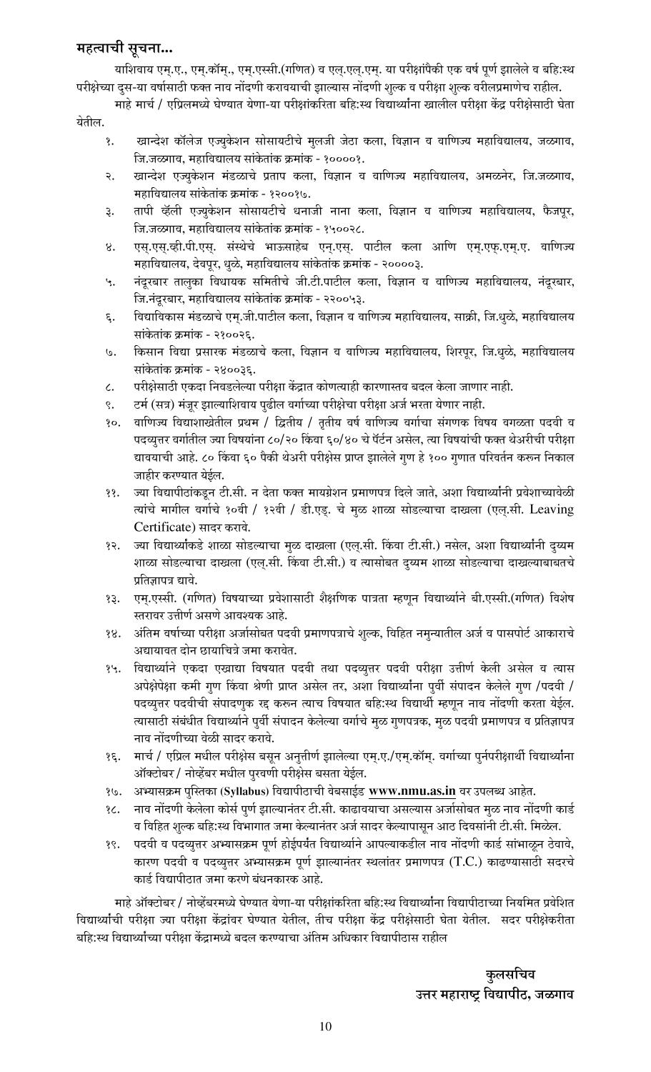#### महत्वाची सूचना...

याशिवाय एम्.ए., एम्.कॉम्., एम्.एस्सी.(गणित) व एल्.एल्.एम्. या परीक्षांपैकी एक वर्ष पूर्ण झालेले व बहि:स्थ परीक्षेच्या दुस-या वर्षासाठी फक्त नाव नोंदणी करावयाची झाल्यास नोंदणी शुल्क व परीक्षा शुल्क वरीलप्रमाणेच राहील.

माहे मार्च / एप्रिलमध्ये घेण्यात येणा-या परीक्षांकरिता बहि:स्थ विद्यार्थ्यांना खालील परीक्षा केंद्र परीक्षेसाठी घेता येतील.

- १. खान्देश कॉलेज एज्युकेशन सोसायटीचे मूलजी जेठा कला, विज्ञान व वाणिज्य महाविद्यालय, जळगाव, जि.जळगाव, महाविद्यालय सांकेतांक क्रमांक - १००००१.
- २. खान्देश एज्युकेशन मंडळाचे प्रताप कला, विज्ञान व वाणिज्य महाविद्यालय, अमळनेर, जि.जळगाव, महाविद्यालय सांकेतांक क्रमांक - १२००१७.
- 3. तापी व्हॅली एज्युकेशन सोसायटीचे धनाजी नाना कला, विज्ञान व वाणिज्य महाविद्यालय, फैजपूर, जि.जळगाव, महाविद्यालय सांकेतांक क्रमांक - १५००२८.
- 8. एस्.एस्.व्ही.पी.एस्. संस्थेचे भाऊसाहेब एन्.एस्. पाटील कला आणि एम्.एफ्.एम्.ए. वाणिज्य महाविद्यालय, देवपूर, धुळे, महाविद्यालय सांकेतांक क्रमांक - २००००३.
- ५. नंदूरबार तालुका विधायक समितीचे जी.टी.पाटील कला, विज्ञान व वाणिज्य महाविद्यालय, नंदूरबार, जि.नंदूरबार, महाविद्यालय सांकेतांक क्रमांक - २२००५३.
- ६. विद्याविकास मंडळाचे एम्.जी.पाटील कला, विज्ञान व वाणिज्य महाविद्यालय, साक्री, जि.धुळे, महाविद्यालय सांकेतांक क्रमांक - २१००२६.
- ७. किसान विद्या प्रसारक मंडळाचे कला, विज्ञान व वाणिज्य महाविद्यालय, शिरपूर, जि.धुळे, महाविद्यालय सांकेतांक क्रमांक - २४००३६.
- $\,\epsilon$ . वरीक्षेसाठी एकदा निवडलेल्या परीक्षा केंद्रात कोणत्याही कारणास्तव बदल केला जाणार नाही.
- ९. ऍटर्म (सत्र) मंजूर झाल्याशिवाय पुढील वर्गाच्या परीक्षेचा परीक्षा अर्ज भरता येणार नाही.
- १०. वाणिज्य विद्याशाखेतील प्रथम / द्वितीय / तृतीय वर्ष वाणिज्य वर्गाचा संगणक विषय वगळता पदवी व पदव्युत्तर वर्गातील ज्या विषयांना ८०/२० किंवा ६०/४० चे पॅर्टन असेल, त्या विषयांची फक्त थेअरीची परीक्षा द्यावयाची आहे. ८० किंवा ६० पैकी थेअरी परीक्षेस प्राप्त झालेले गुण हे १०० गुणात परिवर्तन करून निकाल जाहीर करण्यात येईल.
- ११. ज्या विद्यापीठांकडुन टी.सी. न देता फक्त मायग्रेशन प्रमाणपत्र दिले जाते, अशा विद्यार्थ्यांनी प्रवेशाच्यावेळी त्यांचे मागील वर्गाचे १०वी / १२वी / डी.एड्. चे मुळ शाळा सोडल्याचा दाखला (एल्.सी. Leaving Certificate) सादर करावे.
- १२. ज्या विद्यार्थ्यांकडे शाळा सोडल्याचा मुळ दाखला (एल्.सी. किंवा टी.सी.) नसेल, अशा विद्यार्थ्यांनी दुय्यम शाळा सोडल्याचा दाखला (एल.सी. किंवा टी.सी.) व त्यासोबत द्य्यम शाळा सोडल्याचा दाखल्याबाबतचे प्रतिज्ञापत्र द्यावे.
- 3३. एम्.एस्सी. (गणित) विषयाच्या प्रवेशासाठी शैक्षणिक पात्रता म्हणून विद्यार्थ्याने बी.एस्सी.(गणित) विशेष स्तरावर उत्तीर्ण असणे आवश्यक आहे.
- <u>१४. अंतिम वर्षाच्या परीक्षा अर्जासोबत पदवी प्रमाणपत्राचे शुल्क, विहित नमृन्यातील अर्ज व पासपोर्ट आकाराचे</u> अद्यायावत दोन छायाचित्रे जमा करावेत.
- १५. विद्यार्थ्याने एकदा एखाद्या विषयात पदवी तथा पदव्युत्तर पदवी परीक्षा उत्तीर्ण केली असेल व त्यास अपेक्षेपेक्षा कमी गुण किंवा श्रेणी प्राप्त असेल तर, अशा विद्यार्थ्यांना पुर्वी संपादन केलेले गुण /पदवी / पदव्युत्तर पदवीची संपादणुक रद्द करून त्याच विषयात बहि:स्थ विद्यार्थी म्हणून नाव नोंदणी करता येईल. त्यासाठी संबंधीत विद्यार्थ्याने पुर्वी संपादन केलेल्या वर्गाचे मुळ गुणपत्रक, मुळ पदवी प्रमाणपत्र व प्रतिज्ञापत्र नाव नोंदणीच्या वेळी सादर करावे.
- १६. मार्च / एप्रिल मधील परीक्षेस बसून अनुत्तीर्ण झालेल्या एम्.ए./एम्.कॉम्. वर्गाच्या पुर्नपरीक्षार्थी विद्यार्थ्याना ऑक्टोबर / नोव्हेंबर मधील पुरवणी परीक्षेस बसता येईल.
- १७. अभ्यासक्रम पुस्तिका (Syllabus) विद्यापीठाची वेबसाईड www.nmu.as.in वर उपलब्ध आहेत.
- 3८. −नाव नोंदणी केलेला कोर्स पुर्ण झाल्यानंतर टी.सी. काढावयाचा असल्यास अर्जासोबत मुळ नाव नोंदणी कार्ड व विहित शुल्क बहि:स्थ विभागात जमा केल्यानंतर अर्ज सादर केल्यापासून आठ दिवसांनी टी.सी. मिळेल.
- १९. पदवी व पदव्युत्तर अभ्यासक्रम पूर्ण होईपर्यंत विद्यार्थ्याने आपल्याकडील नाव नोंदणी कार्ड सांभाळून ठेवावे, कारण पदवी व पदव्युत्तर अभ्यासक्रम पूर्ण झाल्यानंतर स्थलांतर प्रमाणपत्र (T.C.) काढण्यासाठी सदरचे कार्ड विद्यापीठात जमा करणे बंधनकारक आहे.

माहे ऑक्टोबर / नोव्हेंबरमध्ये घेण्यात येणा-या परीक्षांकरिता बहि:स्थ विद्यार्थ्यांना विद्यापीठाच्या नियमित प्रवेशित विद्यार्थ्याची परीक्षा ज्या परीक्षा केंद्रांवर घेण्यात येतील, तीच परीक्षा केंद्र परीक्षेसाठी घेता येतील. सदर परीक्षेकरीता बहि:स्थ विद्यार्थ्यांच्या परीक्षा केंद्रामध्ये बदल करण्याचा अंतिम अधिकार विद्यापीठास राहील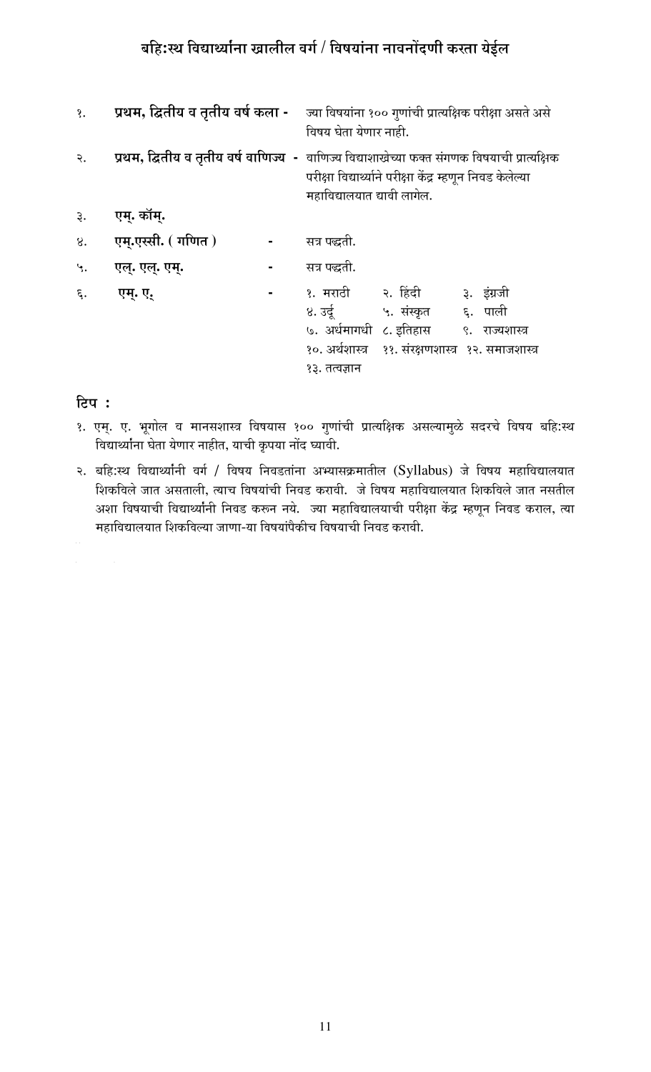# बहि:स्थ विद्यार्थ्याना खालील वर्ग / विषयांना नावनोंदणी करता येईल

| १.      |                   | <b>प्रथम, द्वितीय व तृतीय वर्ष कला -</b> ज्या विषयांना १०० गुणांची प्रात्यक्षिक परीक्षा असते असे<br>विषय घेता येणार नाही.                                                                          |                                                                       |                                                                        |  |  |  |
|---------|-------------------|----------------------------------------------------------------------------------------------------------------------------------------------------------------------------------------------------|-----------------------------------------------------------------------|------------------------------------------------------------------------|--|--|--|
| २.      |                   | <b>्प्रथम, द्वितीय व तृतीय वर्ष वाणिज्य  -</b> वाणिज्य विद्याशाखेच्या फक्त संगणक विषयाची प्रात्यक्षिक<br>परीक्षा विद्यार्थ्याने परीक्षा केंद्र म्हणून निवड केलेल्या<br>महाविद्यालयात द्यावी लागेल. |                                                                       |                                                                        |  |  |  |
| ર.      | एम्. कॉम्.        |                                                                                                                                                                                                    |                                                                       |                                                                        |  |  |  |
| 8.      | एम्.एस्सी. (गणित) | सत्र पद्धती.                                                                                                                                                                                       |                                                                       |                                                                        |  |  |  |
| $\cdot$ | एल्. एल्. एम्.    | सत्र पद्धती.                                                                                                                                                                                       |                                                                       |                                                                        |  |  |  |
| ξ.      | एम्. ए.           | १३. तत्वज्ञान                                                                                                                                                                                      | ४. उर्दू ५. संस्कृत ६. पाली<br>७. अर्धमागधी ८. इतिहास ९. राज्यशास्त्र | ३. इंग्रजी<br>१०. अर्थशास्त्र     ११. संरक्षणशास्त्र   १२. समाजशास्त्र |  |  |  |

#### टिप :

 $\alpha_{\rm{max}}=100$ 

- <u> १. एम्. ए. भू</u>गोल व मानसशास्त्र विषयास १०० गुणांची प्रात्यक्षिक असल्यामुळे सदरचे विषय बहि:स्थ विद्यार्थ्यांना घेता येणार नाहीत, याची कृपया नोंद घ्यावी.
- २. बहि:स्थ विद्यार्थ्यांनी वर्ग / विषय निवडतांना अभ्यासक्रमातील (Syllabus) जे विषय महाविद्यालयात शिकविले जात असताली, त्याच विषयांची निवड करावी. जे विषय महाविद्यालयात शिकविले जात नसतील अशा विषयाची विद्यार्थ्यांनी निवड करून नये. ज्या महाविद्यालयाची परीक्षा केंद्र म्हणून निवड कराल, त्या महाविद्यालयात शिकविल्या जाणा-या विषयांपैकीच विषयाची निवड करावी.